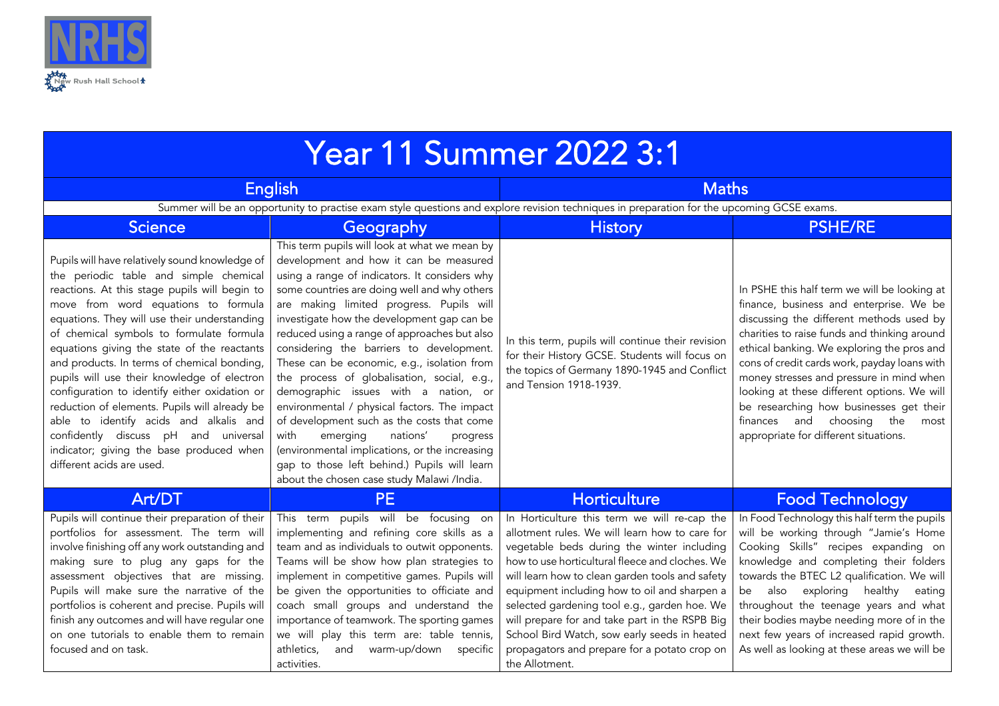

| <b>Year 11 Summer 2022 3:1</b>                                                                                                                                                                                                                                                                                                                                                                                                                                                                                                                                                                                                                                                         |                                                                                                                                                                                                                                                                                                                                                                                                                                                                                                                                                                                                                                                                                                                                                                                                                |                                                                                                                                                                                                                                                                                                                                                                                                                                                                                                                        |                                                                                                                                                                                                                                                                                                                                                                                                                                                                                                       |  |
|----------------------------------------------------------------------------------------------------------------------------------------------------------------------------------------------------------------------------------------------------------------------------------------------------------------------------------------------------------------------------------------------------------------------------------------------------------------------------------------------------------------------------------------------------------------------------------------------------------------------------------------------------------------------------------------|----------------------------------------------------------------------------------------------------------------------------------------------------------------------------------------------------------------------------------------------------------------------------------------------------------------------------------------------------------------------------------------------------------------------------------------------------------------------------------------------------------------------------------------------------------------------------------------------------------------------------------------------------------------------------------------------------------------------------------------------------------------------------------------------------------------|------------------------------------------------------------------------------------------------------------------------------------------------------------------------------------------------------------------------------------------------------------------------------------------------------------------------------------------------------------------------------------------------------------------------------------------------------------------------------------------------------------------------|-------------------------------------------------------------------------------------------------------------------------------------------------------------------------------------------------------------------------------------------------------------------------------------------------------------------------------------------------------------------------------------------------------------------------------------------------------------------------------------------------------|--|
| <b>English</b>                                                                                                                                                                                                                                                                                                                                                                                                                                                                                                                                                                                                                                                                         |                                                                                                                                                                                                                                                                                                                                                                                                                                                                                                                                                                                                                                                                                                                                                                                                                | <b>Maths</b>                                                                                                                                                                                                                                                                                                                                                                                                                                                                                                           |                                                                                                                                                                                                                                                                                                                                                                                                                                                                                                       |  |
| Summer will be an opportunity to practise exam style questions and explore revision techniques in preparation for the upcoming GCSE exams.                                                                                                                                                                                                                                                                                                                                                                                                                                                                                                                                             |                                                                                                                                                                                                                                                                                                                                                                                                                                                                                                                                                                                                                                                                                                                                                                                                                |                                                                                                                                                                                                                                                                                                                                                                                                                                                                                                                        |                                                                                                                                                                                                                                                                                                                                                                                                                                                                                                       |  |
| <b>Science</b>                                                                                                                                                                                                                                                                                                                                                                                                                                                                                                                                                                                                                                                                         | Geography                                                                                                                                                                                                                                                                                                                                                                                                                                                                                                                                                                                                                                                                                                                                                                                                      | <b>History</b>                                                                                                                                                                                                                                                                                                                                                                                                                                                                                                         | <b>PSHE/RE</b>                                                                                                                                                                                                                                                                                                                                                                                                                                                                                        |  |
| Pupils will have relatively sound knowledge of<br>the periodic table and simple chemical<br>reactions. At this stage pupils will begin to<br>move from word equations to formula<br>equations. They will use their understanding<br>of chemical symbols to formulate formula<br>equations giving the state of the reactants<br>and products. In terms of chemical bonding,<br>pupils will use their knowledge of electron<br>configuration to identify either oxidation or<br>reduction of elements. Pupils will already be<br>able to identify acids and alkalis and<br>confidently discuss pH and universal<br>indicator; giving the base produced when<br>different acids are used. | This term pupils will look at what we mean by<br>development and how it can be measured<br>using a range of indicators. It considers why<br>some countries are doing well and why others<br>are making limited progress. Pupils will<br>investigate how the development gap can be<br>reduced using a range of approaches but also<br>considering the barriers to development.<br>These can be economic, e.g., isolation from<br>the process of globalisation, social, e.g.,<br>demographic issues with a nation, or<br>environmental / physical factors. The impact<br>of development such as the costs that come<br>with<br>emerging<br>nations'<br>progress<br>(environmental implications, or the increasing<br>gap to those left behind.) Pupils will learn<br>about the chosen case study Malawi /India. | In this term, pupils will continue their revision<br>for their History GCSE. Students will focus on<br>the topics of Germany 1890-1945 and Conflict<br>and Tension 1918-1939.                                                                                                                                                                                                                                                                                                                                          | In PSHE this half term we will be looking at<br>finance, business and enterprise. We be<br>discussing the different methods used by<br>charities to raise funds and thinking around<br>ethical banking. We exploring the pros and<br>cons of credit cards work, payday loans with<br>money stresses and pressure in mind when<br>looking at these different options. We will<br>be researching how businesses get their<br>finances and choosing the<br>most<br>appropriate for different situations. |  |
| Art/DT                                                                                                                                                                                                                                                                                                                                                                                                                                                                                                                                                                                                                                                                                 | <b>PE</b>                                                                                                                                                                                                                                                                                                                                                                                                                                                                                                                                                                                                                                                                                                                                                                                                      | Horticulture                                                                                                                                                                                                                                                                                                                                                                                                                                                                                                           | <b>Food Technology</b>                                                                                                                                                                                                                                                                                                                                                                                                                                                                                |  |
| Pupils will continue their preparation of their<br>portfolios for assessment. The term will<br>involve finishing off any work outstanding and<br>making sure to plug any gaps for the<br>assessment objectives that are missing.<br>Pupils will make sure the narrative of the<br>portfolios is coherent and precise. Pupils will<br>finish any outcomes and will have regular one<br>on one tutorials to enable them to remain<br>focused and on task.                                                                                                                                                                                                                                | This term pupils will be focusing on<br>implementing and refining core skills as a<br>team and as individuals to outwit opponents.<br>Teams will be show how plan strategies to<br>implement in competitive games. Pupils will<br>be given the opportunities to officiate and<br>coach small groups and understand the<br>importance of teamwork. The sporting games<br>we will play this term are: table tennis,<br>warm-up/down<br>and<br>athletics,<br>specific<br>activities.                                                                                                                                                                                                                                                                                                                              | In Horticulture this term we will re-cap the<br>allotment rules. We will learn how to care for<br>vegetable beds during the winter including<br>how to use horticultural fleece and cloches. We<br>will learn how to clean garden tools and safety<br>equipment including how to oil and sharpen a<br>selected gardening tool e.g., garden hoe. We<br>will prepare for and take part in the RSPB Big<br>School Bird Watch, sow early seeds in heated<br>propagators and prepare for a potato crop on<br>the Allotment. | In Food Technology this half term the pupils<br>will be working through "Jamie's Home<br>Cooking Skills" recipes expanding on<br>knowledge and completing their folders<br>towards the BTEC L2 qualification. We will<br>exploring healthy eating<br>also<br>be<br>throughout the teenage years and what<br>their bodies maybe needing more of in the<br>next few years of increased rapid growth.<br>As well as looking at these areas we will be                                                    |  |